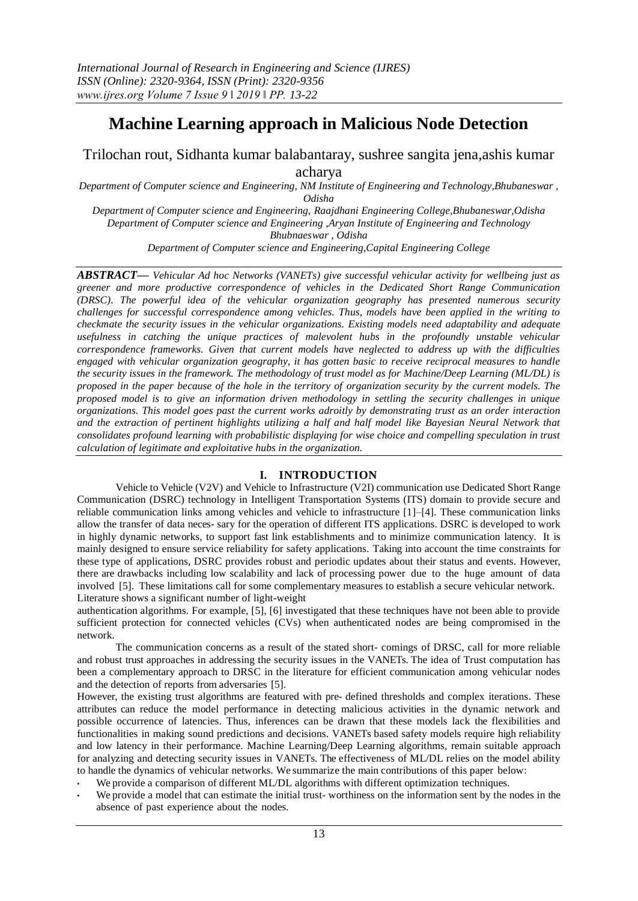# **Machine Learning approach in Malicious Node Detection**

Trilochan rout, Sidhanta kumar balabantaray, sushree sangita jena,ashis kumar acharya

*Department of Computer science and Engineering, NM Institute of Engineering and Technology,Bhubaneswar , Odisha*

*Department of Computer science and Engineering, Raajdhani Engineering College,Bhubaneswar,Odisha Department of Computer science and Engineering ,Aryan Institute of Engineering and Technology Bhubnaeswar , Odisha*

*Department of Computer science and Engineering,Capital Engineering College*

*ABSTRACT— Vehicular Ad hoc Networks (VANETs) give successful vehicular activity for wellbeing just as greener and more productive correspondence of vehicles in the Dedicated Short Range Communication (DRSC). The powerful idea of the vehicular organization geography has presented numerous security challenges for successful correspondence among vehicles. Thus, models have been applied in the writing to checkmate the security issues in the vehicular organizations. Existing models need adaptability and adequate*  usefulness in catching the unique practices of malevolent hubs in the profoundly unstable vehicular *correspondence frameworks. Given that current models have neglected to address up with the difficulties engaged with vehicular organization geography, it has gotten basic to receive reciprocal measures to handle the security issues in the framework. The methodology of trust model as for Machine/Deep Learning (ML/DL) is proposed in the paper because of the hole in the territory of organization security by the current models. The proposed model is to give an information driven methodology in settling the security challenges in unique organizations. This model goes past the current works adroitly by demonstrating trust as an order interaction*  and the extraction of pertinent highlights utilizing a half and half model like Bayesian Neural Network that *consolidates profound learning with probabilistic displaying for wise choice and compelling speculation in trust calculation of legitimate and exploitative hubs in the organization.*

### **I. INTRODUCTION**

Vehicle to Vehicle (V2V) and Vehicle to Infrastructure (V2I) communication use Dedicated Short Range Communication (DSRC) technology in Intelligent Transportation Systems (ITS) domain to provide secure and reliable communication links among vehicles and vehicle to infrastructure [1]–[4]. These communication links allow the transfer of data neces- sary for the operation of different ITS applications. DSRC is developed to work in highly dynamic networks, to support fast link establishments and to minimize communication latency. It is mainly designed to ensure service reliability for safety applications. Taking into account the time constraints for these type of applications, DSRC provides robust and periodic updates about their status and events. However, there are drawbacks including low scalability and lack of processing power due to the huge amount of data involved [5]. These limitations call for some complementary measures to establish a secure vehicular network. Literature shows a significant number of light-weight

authentication algorithms. For example, [5], [6] investigated that these techniques have not been able to provide sufficient protection for connected vehicles (CVs) when authenticated nodes are being compromised in the network.

The communication concerns as a result of the stated short- comings of DRSC, call for more reliable and robust trust approaches in addressing the security issues in the VANETs. The idea of Trust computation has been a complementary approach to DRSC in the literature for efficient communication among vehicular nodes and the detection of reports from adversaries [5].

However, the existing trust algorithms are featured with pre- defined thresholds and complex iterations. These attributes can reduce the model performance in detecting malicious activities in the dynamic network and possible occurrence of latencies. Thus, inferences can be drawn that these models lack the flexibilities and functionalities in making sound predictions and decisions. VANETs based safety models require high reliability and low latency in their performance. Machine Learning/Deep Learning algorithms, remain suitable approach for analyzing and detecting security issues in VANETs. The effectiveness of ML/DL relies on the model ability to handle the dynamics of vehicular networks. We summarize the main contributions of this paper below:

We provide a comparison of different ML/DL algorithms with different optimization techniques.

We provide a model that can estimate the initial trust-worthiness on the information sent by the nodes in the absence of past experience about the nodes.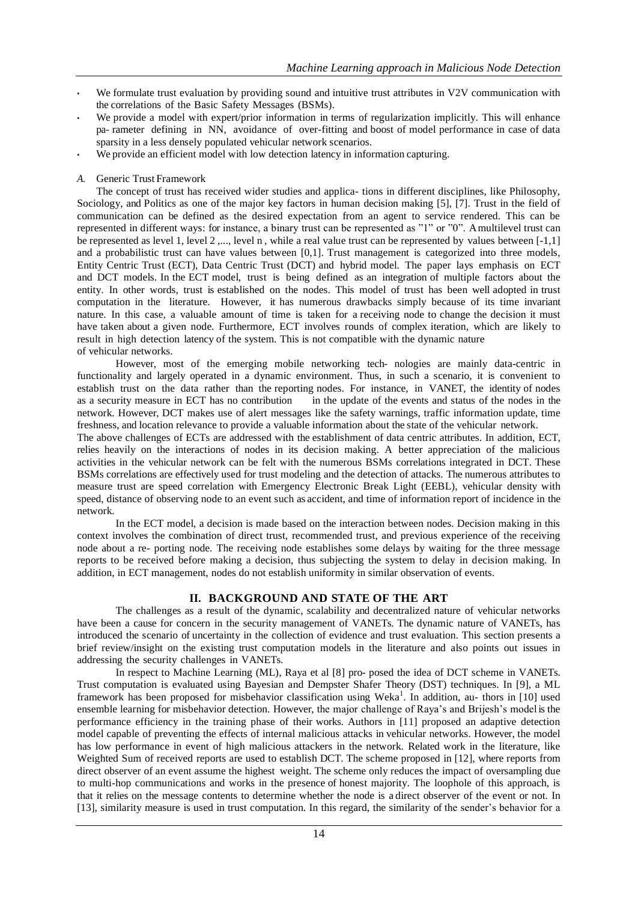- We formulate trust evaluation by providing sound and intuitive trust attributes in V2V communication with the correlations of the Basic Safety Messages (BSMs).
- We provide a model with expert/prior information in terms of regularization implicitly. This will enhance pa- rameter defining in NN, avoidance of over-fitting and boost of model performance in case of data sparsity in a less densely populated vehicular network scenarios.
- We provide an efficient model with low detection latency in information capturing.

#### *A.* Generic Trust Framework

The concept of trust has received wider studies and applica- tions in different disciplines, like Philosophy, Sociology, and Politics as one of the major key factors in human decision making [5], [7]. Trust in the field of communication can be defined as the desired expectation from an agent to service rendered. This can be represented in different ways: for instance, a binary trust can be represented as "1" or "0". A multilevel trust can be represented as level 1, level 2 ,..., level n, while a real value trust can be represented by values between [-1,1] and a probabilistic trust can have values between [0,1]. Trust management is categorized into three models, Entity Centric Trust (ECT), Data Centric Trust (DCT) and hybrid model. The paper lays emphasis on ECT and DCT models. In the ECT model, trust is being defined as an integration of multiple factors about the entity. In other words, trust is established on the nodes. This model of trust has been well adopted in trust computation in the literature. However, it has numerous drawbacks simply because of its time invariant nature. In this case, a valuable amount of time is taken for a receiving node to change the decision it must have taken about a given node. Furthermore, ECT involves rounds of complex iteration, which are likely to result in high detection latency of the system. This is not compatible with the dynamic nature of vehicular networks.

However, most of the emerging mobile networking tech- nologies are mainly data-centric in functionality and largely operated in a dynamic environment. Thus, in such a scenario, it is convenient to establish trust on the data rather than the reporting nodes. For instance, in VANET, the identity of nodes as a security measure in ECT has no contribution in the update of the events and status of the nodes in the network. However, DCT makes use of alert messages like the safety warnings, traffic information update, time freshness, and location relevance to provide a valuable information about the state of the vehicular network.

The above challenges of ECTs are addressed with the establishment of data centric attributes. In addition, ECT, relies heavily on the interactions of nodes in its decision making. A better appreciation of the malicious activities in the vehicular network can be felt with the numerous BSMs correlations integrated in DCT. These BSMs correlations are effectively used for trust modeling and the detection of attacks. The numerous attributes to measure trust are speed correlation with Emergency Electronic Break Light (EEBL), vehicular density with speed, distance of observing node to an event such as accident, and time of information report of incidence in the network.

In the ECT model, a decision is made based on the interaction between nodes. Decision making in this context involves the combination of direct trust, recommended trust, and previous experience of the receiving node about a re- porting node. The receiving node establishes some delays by waiting for the three message reports to be received before making a decision, thus subjecting the system to delay in decision making. In addition, in ECT management, nodes do not establish uniformity in similar observation of events.

### **II. BACKGROUND AND STATE OF THE ART**

The challenges as a result of the dynamic, scalability and decentralized nature of vehicular networks have been a cause for concern in the security management of VANETs. The dynamic nature of VANETs, has introduced the scenario of uncertainty in the collection of evidence and trust evaluation. This section presents a brief review/insight on the existing trust computation models in the literature and also points out issues in addressing the security challenges in VANETs.

In respect to Machine Learning (ML), Raya et al [8] pro- posed the idea of DCT scheme in VANETs. Trust computation is evaluated using Bayesian and Dempster Shafer Theory (DST) techniques. In [9], a ML framework has been proposed for misbehavior classification using Weka<sup>1</sup>. In addition, au- thors in [10] used ensemble learning for misbehavior detection. However, the major challenge of Raya's and Brijesh's model is the performance efficiency in the training phase of their works. Authors in [11] proposed an adaptive detection model capable of preventing the effects of internal malicious attacks in vehicular networks. However, the model has low performance in event of high malicious attackers in the network. Related work in the literature, like Weighted Sum of received reports are used to establish DCT. The scheme proposed in [12], where reports from direct observer of an event assume the highest weight. The scheme only reduces the impact of oversampling due to multi-hop communications and works in the presence of honest majority. The loophole of this approach, is that it relies on the message contents to determine whether the node is a direct observer of the event or not. In [13], similarity measure is used in trust computation. In this regard, the similarity of the sender's behavior for a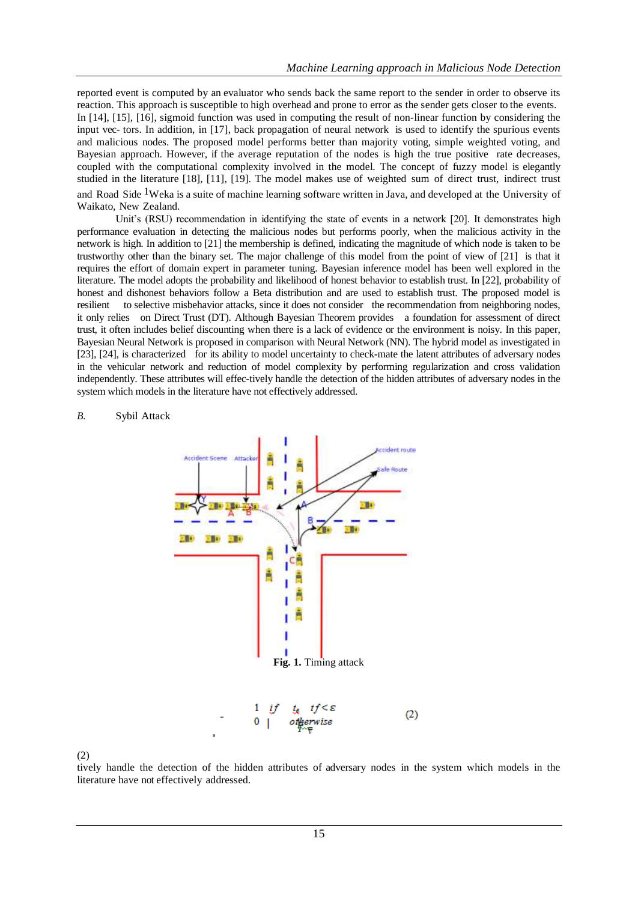reported event is computed by an evaluator who sends back the same report to the sender in order to observe its reaction. This approach is susceptible to high overhead and prone to error as the sender gets closer to the events. In [14], [15], [16], sigmoid function was used in computing the result of non-linear function by considering the input vec- tors. In addition, in [17], back propagation of neural network is used to identify the spurious events and malicious nodes. The proposed model performs better than majority voting, simple weighted voting, and Bayesian approach. However, if the average reputation of the nodes is high the true positive rate decreases, coupled with the computational complexity involved in the model. The concept of fuzzy model is elegantly studied in the literature [18], [11], [19]. The model makes use of weighted sum of direct trust, indirect trust and Road Side <sup>1</sup>Weka is a suite of machine learning software written in Java, and developed at the University of Waikato, New Zealand.

Unit's (RSU) recommendation in identifying the state of events in a network [20]. It demonstrates high performance evaluation in detecting the malicious nodes but performs poorly, when the malicious activity in the network is high. In addition to [21] the membership is defined, indicating the magnitude of which node is taken to be trustworthy other than the binary set. The major challenge of this model from the point of view of [21] is that it requires the effort of domain expert in parameter tuning. Bayesian inference model has been well explored in the literature. The model adopts the probability and likelihood of honest behavior to establish trust. In [22], probability of honest and dishonest behaviors follow a Beta distribution and are used to establish trust. The proposed model is resilient to selective misbehavior attacks, since it does not consider the recommendation from neighboring nodes, it only relies on Direct Trust (DT). Although Bayesian Theorem provides a foundation for assessment of direct trust, it often includes belief discounting when there is a lack of evidence or the environment is noisy. In this paper, Bayesian Neural Network is proposed in comparison with Neural Network (NN). The hybrid model as investigated in [23], [24], is characterized for its ability to model uncertainty to check-mate the latent attributes of adversary nodes in the vehicular network and reduction of model complexity by performing regularization and cross validation independently. These attributes will effec-tively handle the detection of the hidden attributes of adversary nodes in the system which models in the literature have not effectively addressed.

### *B.* Sybil Attack



(2)

tively handle the detection of the hidden attributes of adversary nodes in the system which models in the literature have not effectively addressed.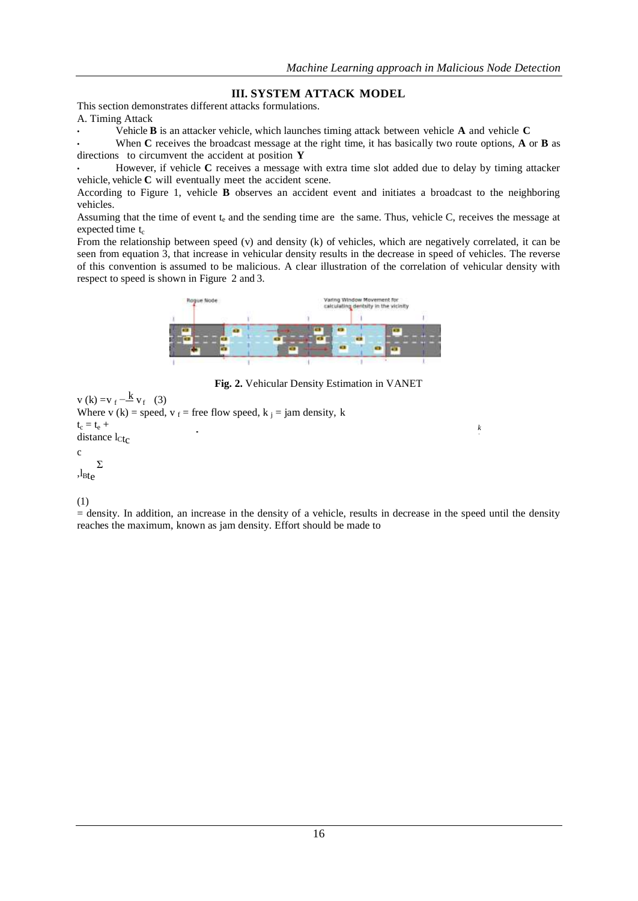*k* 

## **III. SYSTEM ATTACK MODEL**

This section demonstrates different attacks formulations.

### A. Timing Attack

*•* Vehicle **B** is an attacker vehicle, which launches timing attack between vehicle **A** and vehicle **C**

*•* When **C** receives the broadcast message at the right time, it has basically two route options, **A** or **B** as directions to circumvent the accident at position **Y**

*•* However, if vehicle **C** receives a message with extra time slot added due to delay by timing attacker vehicle, vehicle **C** will eventually meet the accident scene.

According to Figure 1, vehicle **B** observes an accident event and initiates a broadcast to the neighboring vehicles.

Assuming that the time of event  $t_e$  and the sending time are the same. Thus, vehicle C, receives the message at  $expected time t_c$ 

From the relationship between speed (v) and density (k) of vehicles, which are negatively correlated, it can be seen from equation 3, that increase in vehicular density results in the decrease in speed of vehicles. The reverse of this convention is assumed to be malicious. A clear illustration of the correlation of vehicular density with respect to speed is shown in Figure 2 and 3.



**Fig. 2.** Vehicular Density Estimation in VANET

```
.
v(k) = v_f - \frac{k}{r} v_f (3)
Where v (k) = speed, v _f = free flow speed, k _i = jam density, k
t_c = t_e +distance l_{\text{C}t_{\text{C}}}c
,l_{B}<sub>te</sub>
      Σ
```
(1)

= density. In addition, an increase in the density of a vehicle, results in decrease in the speed until the density reaches the maximum, known as jam density. Effort should be made to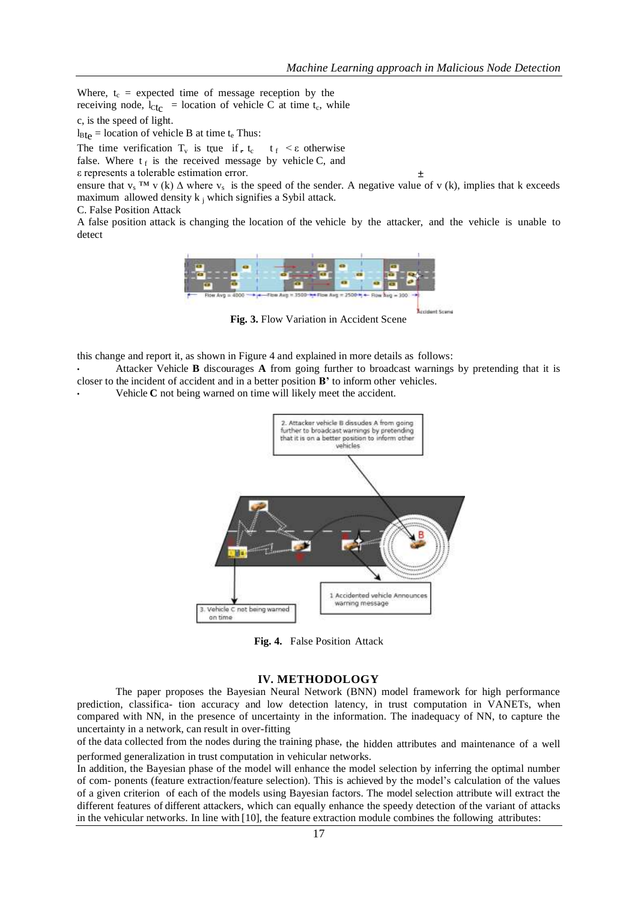Where,  $t_c$  = expected time of message reception by the receiving node,  $l_{\text{C}t_{\text{C}}}$  = location of vehicle C at time  $t_c$ , while

c, is the speed of light.

 $l_{Bte}$  = location of vehicle B at time t<sub>e</sub> Thus:

The time verification  $T_v$  is true if  $t_c$  t<sub>f</sub>  $\leq \varepsilon$  otherwise false. Where  $t_f$  is the received message by vehicle C, and

ε represents a tolerable estimation error.

*±* ensure that  $v_s$ <sup>TM</sup> v (k)  $\Delta$  where  $v_s$  is the speed of the sender. A negative value of v (k), implies that k exceeds maximum allowed density  $k_i$  which signifies a Sybil attack.

C. False Position Attack

A false position attack is changing the location of the vehicle by the attacker, and the vehicle is unable to detect



**Fig. 3.** Flow Variation in Accident Scene

this change and report it, as shown in Figure 4 and explained in more details as follows:

*•* Attacker Vehicle **B** discourages **A** from going further to broadcast warnings by pretending that it is closer to the incident of accident and in a better position **B'** to inform other vehicles.

*•* Vehicle **C** not being warned on time will likely meet the accident.



**Fig. 4.** False Position Attack

### **IV. METHODOLOGY**

The paper proposes the Bayesian Neural Network (BNN) model framework for high performance prediction, classifica- tion accuracy and low detection latency, in trust computation in VANETs, when compared with NN, in the presence of uncertainty in the information. The inadequacy of NN, to capture the uncertainty in a network, can result in over-fitting

of the data collected from the nodes during the training phase, the hidden attributes and maintenance of a well performed generalization in trust computation in vehicular networks.

In addition, the Bayesian phase of the model will enhance the model selection by inferring the optimal number of com- ponents (feature extraction/feature selection). This is achieved by the model's calculation of the values of a given criterion of each of the models using Bayesian factors. The model selection attribute will extract the different features of different attackers, which can equally enhance the speedy detection of the variant of attacks in the vehicular networks. In line with [10], the feature extraction module combines the following attributes: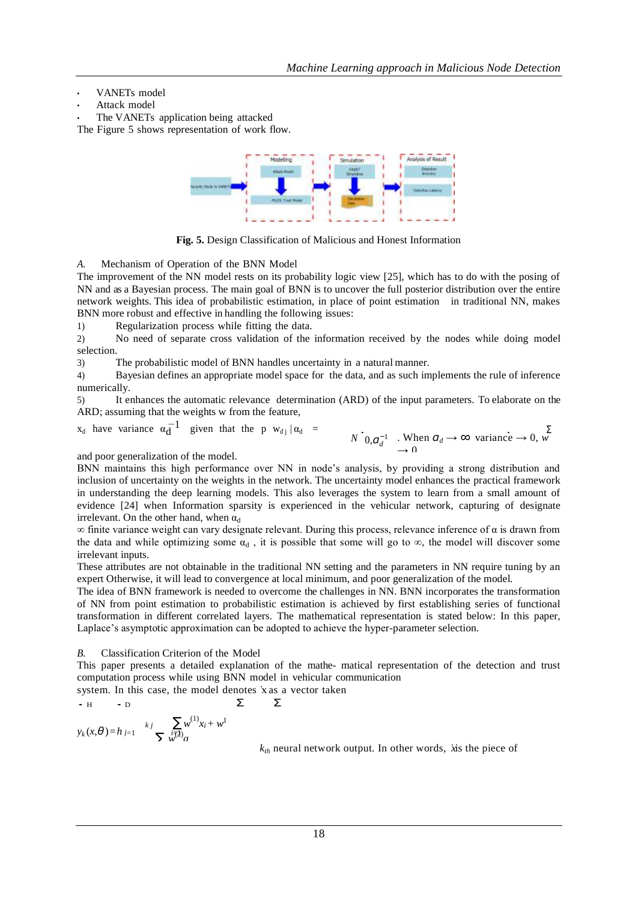- *•* VANETs model
- *•* Attack model
- The VANETs application being attacked

The Figure 5 shows representation of work flow.



**Fig. 5.** Design Classification of Malicious and Honest Information

*A.* Mechanism of Operation of the BNN Model

The improvement of the NN model rests on its probability logic view [25], which has to do with the posing of NN and as a Bayesian process. The main goal of BNN is to uncover the full posterior distribution over the entire network weights. This idea of probabilistic estimation, in place of point estimation in traditional NN, makes BNN more robust and effective in handling the following issues:

1) Regularization process while fitting the data.

2) No need of separate cross validation of the information received by the nodes while doing model selection.

3) The probabilistic model of BNN handles uncertainty in a natural manner.

4) Bayesian defines an appropriate model space for the data, and as such implements the rule of inference numerically.

5) It enhances the automatic relevance determination (ARD) of the input parameters. To elaborate on the ARD; assuming that the weights w from the feature,

$$
x_d
$$
 have variance  $\alpha_d^{-1}$  given that the p  $w_{d,j} | \alpha_d =$ 

$$
N \bigg[ 0, \sigma_d^{-1} \quad \text{When } \sigma_d \to \infty \text{ variance } \to 0, w
$$
  

$$
\to 0
$$

and poor generalization of the model.

BNN maintains this high performance over NN in node's analysis, by providing a strong distribution and inclusion of uncertainty on the weights in the network. The uncertainty model enhances the practical framework in understanding the deep learning models. This also leverages the system to learn from a small amount of evidence [24] when Information sparsity is experienced in the vehicular network, capturing of designate irrelevant. On the other hand, when  $\alpha_d$ 

 $\infty$  finite variance weight can vary designate relevant. During this process, relevance inference of  $\alpha$  is drawn from the data and while optimizing some  $\alpha_d$ , it is possible that some will go to  $\infty$ , the model will discover some irrelevant inputs.

These attributes are not obtainable in the traditional NN setting and the parameters in NN require tuning by an expert Otherwise, it will lead to convergence at local minimum, and poor generalization of the model.

The idea of BNN framework is needed to overcome the challenges in NN. BNN incorporates the transformation of NN from point estimation to probabilistic estimation is achieved by first establishing series of functional transformation in different correlated layers. The mathematical representation is stated below: In this paper, Laplace's asymptotic approximation can be adopted to achieve the hyper-parameter selection.

### *B.* Classification Criterion of the Model

This paper presents a detailed explanation of the mathe- matical representation of the detection and trust computation process while using BNN model in vehicular communication

Σ Σ system. In this case, the model denotes  $\bar{x}$  as a vector taken - H - D  $\sum \sum$ 

$$
y_k(x, \theta) = h_{i=1}
$$
  $k_j \sum_{w \in \mathcal{X}} w^{(1)} x_i + w^1$ 

 $k<sub>th</sub>$  neural network output. In other words, *i* is the piece of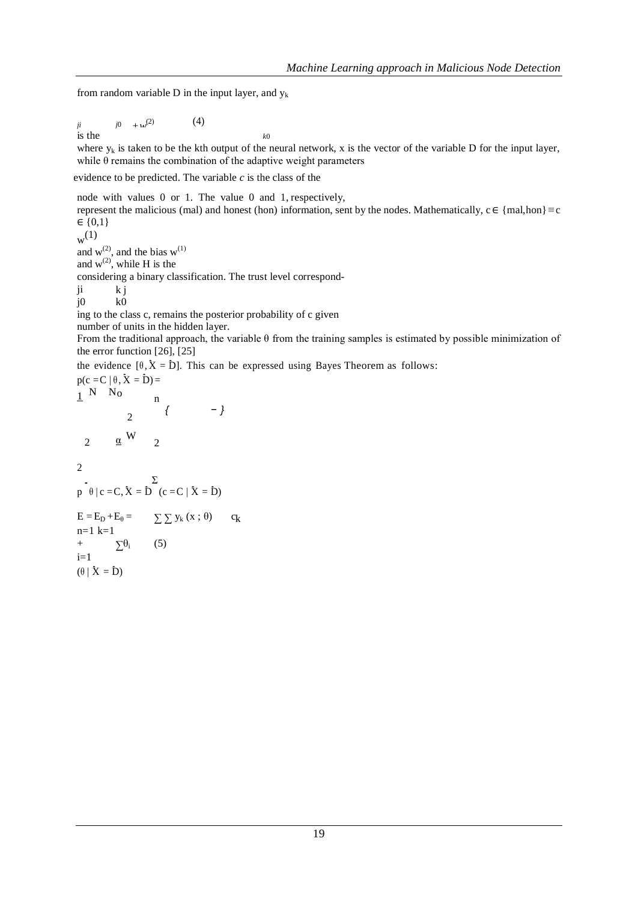from random variable  $D$  in the input layer, and  $y_k$ 

is the  $j_0$   $j_0$   $\pm w^{(2)}$  (4)

where  $y_k$  is taken to be the kth output of the neural network, x is the vector of the variable D for the input layer, while  $\theta$  remains the combination of the adaptive weight parameters

*k*0

evidence to be predicted. The variable *c* is the class of the

2 *{ − }* node with values 0 or 1. The value 0 and 1, respectively, represent the malicious (mal) and honest (hon) information, sent by the nodes. Mathematically,  $c \in \{mal, hon\} \equiv c$ ∈ {0,1}  $w^{(1)}$ and  $w^{(2)}$ , and the bias  $w^{(1)}$ and  $w^{(2)}$ , while H is the considering a binary classification. The trust level correspondji k j  $j0$  kO ing to the class c, remains the posterior probability of c given number of units in the hidden layer. From the traditional approach, the variable  $\theta$  from the training samples is estimated by possible minimization of the error function [26], [25] the error function [20], [25]<br>the evidence [θ,  $\dot{X} = \dot{D}$ ]. This can be expressed using Bayes Theorem as follows:  $p(c = C | \theta, \dot{X} = \dot{D}) =$ 1 N No n 2  $\alpha$ <sup>W</sup> 2 p .  $\theta$  | c = C,  $\dot{X} = \dot{D}$  (c = C |  $\dot{X} = \dot{D}$ ) Σ  $E = E_D + E_\theta = \sum \sum y_k (x; \theta)$  c<sub>k</sub>  $n=1$   $k=1$ +  $\sum \theta_i$  (5)  $i=1$  $(0 | X = \overline{D})$  $\overline{2}$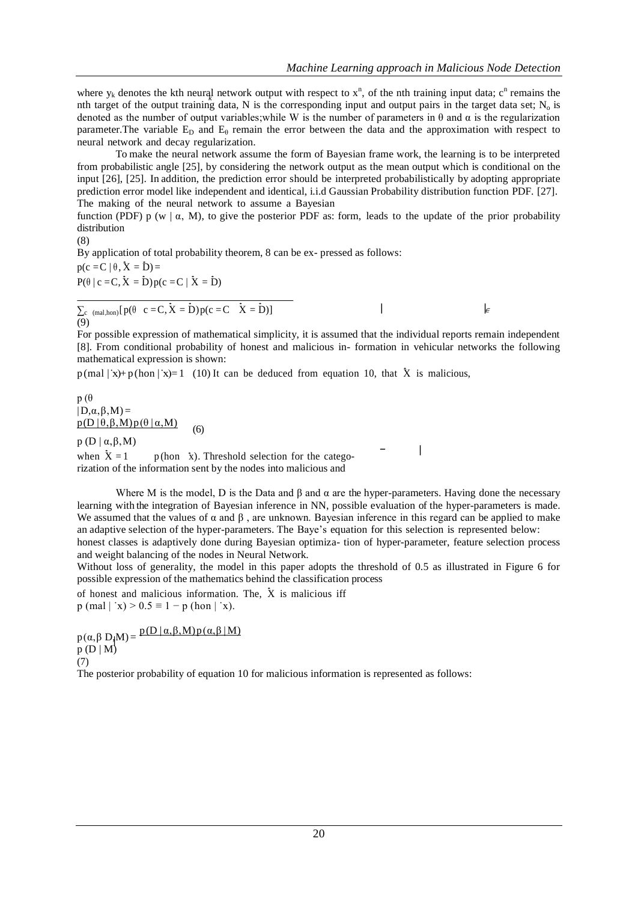where  $y_k$  denotes the kth neural network output with respect to  $x^n$ , of the nth training input data;  $c^n$  remains the nth target of the output training data. N is the corresponding input and output pairs in the target data set;  $N_0$  is denoted as the number of output variables; while W is the number of parameters in  $\theta$  and  $\alpha$  is the regularization parameter. The variable  $E_D$  and  $E_\theta$  remain the error between the data and the approximation with respect to neural network and decay regularization.

To make the neural network assume the form of Bayesian frame work, the learning is to be interpreted from probabilistic angle [25], by considering the network output as the mean output which is conditional on the input [26], [25]. In addition, the prediction error should be interpreted probabilistically by adopting appropriate prediction error model like independent and identical, i.i.d Gaussian Probability distribution function PDF. [27]. The making of the neural network to assume a Bayesian

function (PDF) p (w |  $\alpha$ , M), to give the posterior PDF as: form, leads to the update of the prior probability distribution

(8)

By application of total probability theorem, 8 can be ex- pressed as follows:  $p(c = C | \theta, \dot{X} = \dot{D}) =$  $P(e - C | v, X - D) - P(\theta | c = C, X = \overline{D})p(c = C | X = \overline{D})$ 

*| |*<sup>∈</sup>  $\sum_{c \pmod{h}$  (mal, hon)  $[p(\theta \ c = C, X = D)p(c = C \ X = D)]$  $(9)$ 

For possible expression of mathematical simplicity, it is assumed that the individual reports remain independent [8]. From conditional probability of honest and malicious in- formation in vehicular networks the following mathematical expression is shown:

 $p(mal | x)+p(hon | x)=1$  (10) It can be deduced from equation 10, that  $\dot{X}$  is malicious,

 $p(\theta)$  $|D,\alpha,\beta,M\rangle =$  $p(D | \theta, \beta, M)p(\theta | \alpha, M)$  (6)

 $p(D | \alpha, \beta, M)$ 

when  $\dot{X} = 1$  p (hon  $\dot{x}$ ). Threshold selection for the categorization of the information sent by the nodes into malicious and

Where M is the model, D is the Data and  $\beta$  and  $\alpha$  are the hyper-parameters. Having done the necessary learning with the integration of Bayesian inference in NN, possible evaluation of the hyper-parameters is made. We assumed that the values of  $\alpha$  and  $\beta$ , are unknown. Bayesian inference in this regard can be applied to make an adaptive selection of the hyper-parameters. The Baye's equation for this selection is represented below: honest classes is adaptively done during Bayesian optimiza- tion of hyper-parameter, feature selection process and weight balancing of the nodes in Neural Network.

*− |*

Without loss of generality, the model in this paper adopts the threshold of 0.5 as illustrated in Figure 6 for possible expression of the mathematics behind the classification process

of honest and malicious information. The,  $\dot{X}$  is malicious iff  $p \text{ (mal } | \dot{x}) > 0.5 \equiv 1 - p \text{ (hon } | \dot{x})$ .

 $p(\alpha, \beta \, D_s M) = \frac{p(D \mid \alpha, \beta, M) p(\alpha, \beta \mid M)}{p(\alpha, \beta \mid M)}$  $p(D|M)$ (7) *|*

The posterior probability of equation 10 for malicious information is represented as follows: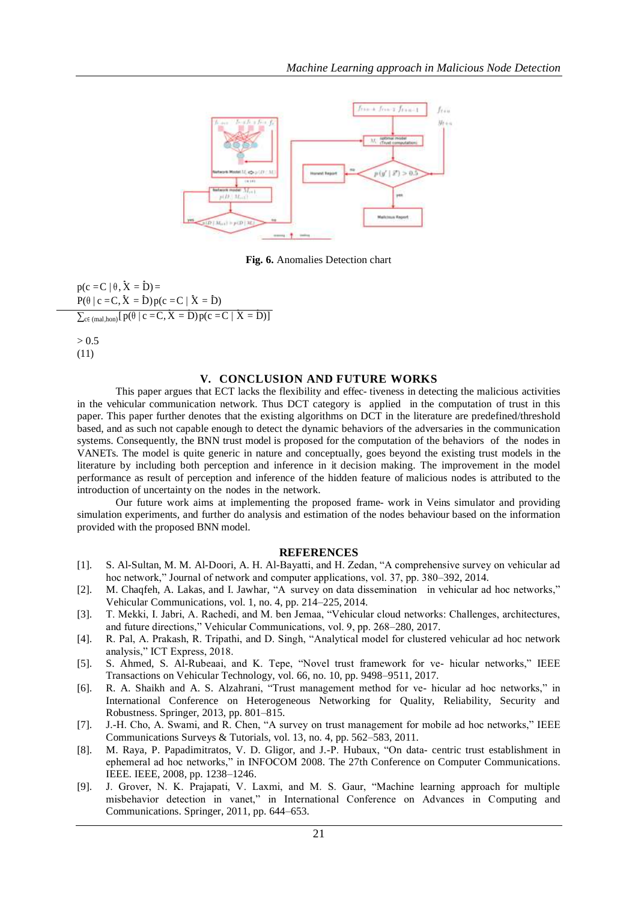

**Fig. 6.** Anomalies Detection chart

 $p(c = C | \theta, \dot{X} = \dot{D})$  $P(e - C | v, X - D) - P(\theta | c = C, X = \overline{D})p(c = C | X = \overline{D})$  $\sum_{\substack{c \in \text{ (mal, hon)}}} \left[ p(\theta \mid c = C, X = D) p(c = C \mid X = D) \right]$ 

 $> 0.5$ (11)

**V. CONCLUSION AND FUTURE WORKS**

This paper argues that ECT lacks the flexibility and effec- tiveness in detecting the malicious activities in the vehicular communication network. Thus DCT category is applied in the computation of trust in this paper. This paper further denotes that the existing algorithms on DCT in the literature are predefined/threshold based, and as such not capable enough to detect the dynamic behaviors of the adversaries in the communication systems. Consequently, the BNN trust model is proposed for the computation of the behaviors of the nodes in VANETs. The model is quite generic in nature and conceptually, goes beyond the existing trust models in the literature by including both perception and inference in it decision making. The improvement in the model performance as result of perception and inference of the hidden feature of malicious nodes is attributed to the introduction of uncertainty on the nodes in the network.

Our future work aims at implementing the proposed frame- work in Veins simulator and providing simulation experiments, and further do analysis and estimation of the nodes behaviour based on the information provided with the proposed BNN model.

### **REFERENCES**

- [1]. S. Al-Sultan, M. M. Al-Doori, A. H. Al-Bayatti, and H. Zedan, "A comprehensive survey on vehicular ad hoc network," Journal of network and computer applications, vol. 37, pp. 380–392, 2014.
- [2]. M. Chaqfeh, A. Lakas, and I. Jawhar, "A survey on data dissemination in vehicular ad hoc networks," Vehicular Communications, vol. 1, no. 4, pp. 214–225, 2014.
- [3]. T. Mekki, I. Jabri, A. Rachedi, and M. ben Jemaa, "Vehicular cloud networks: Challenges, architectures, and future directions," Vehicular Communications, vol. 9, pp. 268–280, 2017.
- [4]. R. Pal, A. Prakash, R. Tripathi, and D. Singh, "Analytical model for clustered vehicular ad hoc network analysis," ICT Express, 2018.
- [5]. S. Ahmed, S. Al-Rubeaai, and K. Tepe, "Novel trust framework for ve- hicular networks," IEEE Transactions on Vehicular Technology, vol. 66, no. 10, pp. 9498–9511, 2017.
- [6]. R. A. Shaikh and A. S. Alzahrani, "Trust management method for ve- hicular ad hoc networks," in International Conference on Heterogeneous Networking for Quality, Reliability, Security and Robustness. Springer, 2013, pp. 801–815.
- [7]. J.-H. Cho, A. Swami, and R. Chen, "A survey on trust management for mobile ad hoc networks," IEEE Communications Surveys & Tutorials, vol. 13, no. 4, pp. 562–583, 2011.
- [8]. M. Raya, P. Papadimitratos, V. D. Gligor, and J.-P. Hubaux, "On data- centric trust establishment in ephemeral ad hoc networks," in INFOCOM 2008. The 27th Conference on Computer Communications. IEEE. IEEE, 2008, pp. 1238–1246.
- [9]. J. Grover, N. K. Prajapati, V. Laxmi, and M. S. Gaur, "Machine learning approach for multiple misbehavior detection in vanet," in International Conference on Advances in Computing and Communications. Springer, 2011, pp. 644–653.